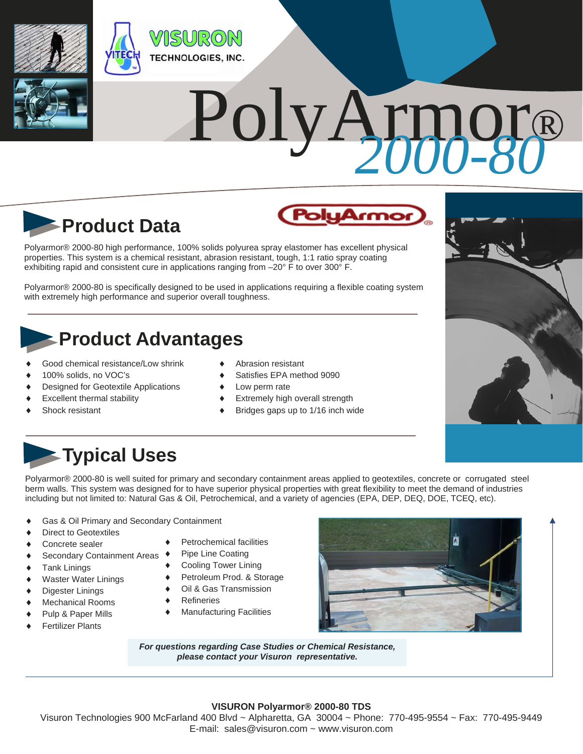

# PolyA



Polyarmor® 2000-80 high performance, 100% solids polyurea spray elastomer has excellent physical properties. This system is a chemical resistant, abrasion resistant, tough, 1:1 ratio spray coating exhibiting rapid and consistent cure in applications ranging from -20° F to over 300° F.

Polyarmor® 2000-80 is specifically designed to be used in applications requiring a flexible coating system with extremely high performance and superior overall toughness.

### **Product Advantages**

- Good chemical resistance/Low shrink
- 100% solids, no VOC's
- Designed for Geotextile Applications
- Excellent thermal stability
- Shock resistant
- Abrasion resistant
- Satisfies EPA method 9090
- Low perm rate
- Extremely high overall strength
- Bridges gaps up to 1/16 inch wide



### **Typical Uses**

Polyarmor® 2000-80 is well suited for primary and secondary containment areas applied to geotextiles, concrete or corrugated steel berm walls. This system was designed for to have superior physical properties with great flexibility to meet the demand of industries including but not limited to: Natural Gas & Oil, Petrochemical, and a variety of agencies (EPA, DEP, DEQ, DOE, TCEQ, etc).

- Gas & Oil Primary and Secondary Containment
- Direct to Geotextiles
- Concrete sealer
- ◆ Secondary Containment Areas ◆
- ◆ Tank Linings
- Waster Water Linings
- ◆ Digester Linings
- Mechanical Rooms
- ◆ Pulp & Paper Mills
- Fertilizer Plants
- Petrochemical facilities
- Pipe Line Coating
- Cooling Tower Lining
- Petroleum Prod. & Storage
- Oil & Gas Transmission
- Refineries
- Manufacturing Facilities



*For questions regarding Case Studies or Chemical Resistance, please contact your Visuron representative.* 

#### **VISURON Polyarmor® 2000-80 TDS**

Visuron Technologies 900 McFarland 400 Blvd ~ Alpharetta, GA 30004 ~ Phone: 770-495-9554 ~ Fax: 770-495-9449 E-mail: sales@visuron.com ~ www.visuron.com